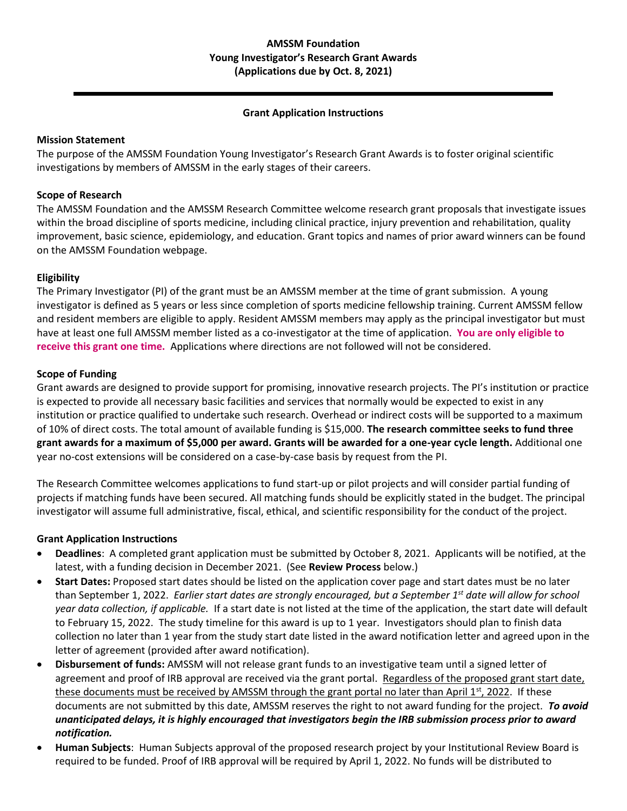#### **Grant Application Instructions**

### **Mission Statement**

The purpose of the AMSSM Foundation Young Investigator's Research Grant Awards is to foster original scientific investigations by members of AMSSM in the early stages of their careers.

### **Scope of Research**

The AMSSM Foundation and the AMSSM Research Committee welcome research grant proposals that investigate issues within the broad discipline of sports medicine, including clinical practice, injury prevention and rehabilitation, quality improvement, basic science, epidemiology, and education. Grant topics and names of prior award winners can be found on the AMSSM Foundation webpage.

### **Eligibility**

The Primary Investigator (PI) of the grant must be an AMSSM member at the time of grant submission. A young investigator is defined as 5 years or less since completion of sports medicine fellowship training. Current AMSSM fellow and resident members are eligible to apply. Resident AMSSM members may apply as the principal investigator but must have at least one full AMSSM member listed as a co-investigator at the time of application. **You are only eligible to receive this grant one time.** Applications where directions are not followed will not be considered.

#### **Scope of Funding**

Grant awards are designed to provide support for promising, innovative research projects. The PI's institution or practice is expected to provide all necessary basic facilities and services that normally would be expected to exist in any institution or practice qualified to undertake such research. Overhead or indirect costs will be supported to a maximum of 10% of direct costs. The total amount of available funding is \$15,000. **The research committee seeks to fund three grant awards for a maximum of \$5,000 per award. Grants will be awarded for a one-year cycle length.** Additional one year no-cost extensions will be considered on a case-by-case basis by request from the PI.

The Research Committee welcomes applications to fund start-up or pilot projects and will consider partial funding of projects if matching funds have been secured. All matching funds should be explicitly stated in the budget. The principal investigator will assume full administrative, fiscal, ethical, and scientific responsibility for the conduct of the project.

## **Grant Application Instructions**

- **Deadlines**: A completed grant application must be submitted by October 8, 2021. Applicants will be notified, at the latest, with a funding decision in December 2021. (See **Review Process** below.)
- **Start Dates:** Proposed start dates should be listed on the application cover page and start dates must be no later than September 1, 2022. *Earlier start dates are strongly encouraged, but a September 1st date will allow for school year data collection, if applicable.* If a start date is not listed at the time of the application, the start date will default to February 15, 2022. The study timeline for this award is up to 1 year. Investigators should plan to finish data collection no later than 1 year from the study start date listed in the award notification letter and agreed upon in the letter of agreement (provided after award notification).
- **Disbursement of funds:** AMSSM will not release grant funds to an investigative team until a signed letter of agreement and proof of IRB approval are received via the grant portal. Regardless of the proposed grant start date, these documents must be received by AMSSM through the grant portal no later than April  $1^{st}$ , 2022. If these documents are not submitted by this date, AMSSM reserves the right to not award funding for the project. *To avoid unanticipated delays, it is highly encouraged that investigators begin the IRB submission process prior to award notification.*
- **Human Subjects**: Human Subjects approval of the proposed research project by your Institutional Review Board is required to be funded. Proof of IRB approval will be required by April 1, 2022. No funds will be distributed to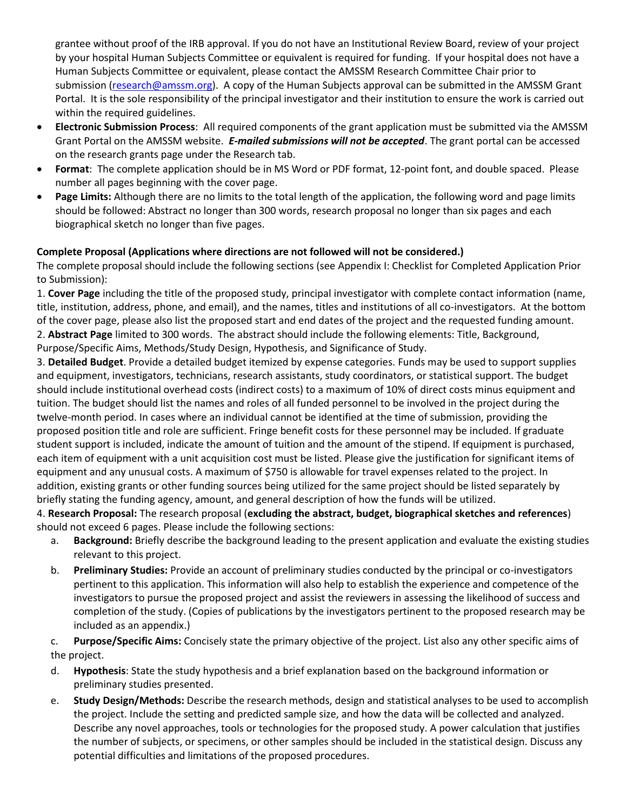grantee without proof of the IRB approval. If you do not have an Institutional Review Board, review of your project by your hospital Human Subjects Committee or equivalent is required for funding. If your hospital does not have a Human Subjects Committee or equivalent, please contact the AMSSM Research Committee Chair prior to submission [\(research@amssm.org\)](mailto:research@amssm.org). A copy of the Human Subjects approval can be submitted in the AMSSM Grant Portal. It is the sole responsibility of the principal investigator and their institution to ensure the work is carried out within the required guidelines.

- **Electronic Submission Process**: All required components of the grant application must be submitted via the AMSSM Grant Portal on the AMSSM website. *E-mailed submissions will not be accepted*. The grant portal can be accessed on the research grants page under the Research tab.
- **Format**: The complete application should be in MS Word or PDF format, 12-point font, and double spaced. Please number all pages beginning with the cover page.
- **Page Limits:** Although there are no limits to the total length of the application, the following word and page limits should be followed: Abstract no longer than 300 words, research proposal no longer than six pages and each biographical sketch no longer than five pages.

# **Complete Proposal (Applications where directions are not followed will not be considered.)**

The complete proposal should include the following sections (see Appendix I: Checklist for Completed Application Prior to Submission):

1. **Cover Page** including the title of the proposed study, principal investigator with complete contact information (name, title, institution, address, phone, and email), and the names, titles and institutions of all co-investigators. At the bottom of the cover page, please also list the proposed start and end dates of the project and the requested funding amount. 2. **Abstract Page** limited to 300 words. The abstract should include the following elements: Title, Background, Purpose/Specific Aims, Methods/Study Design, Hypothesis, and Significance of Study.

3. **Detailed Budget**. Provide a detailed budget itemized by expense categories. Funds may be used to support supplies and equipment, investigators, technicians, research assistants, study coordinators, or statistical support. The budget should include institutional overhead costs (indirect costs) to a maximum of 10% of direct costs minus equipment and tuition. The budget should list the names and roles of all funded personnel to be involved in the project during the twelve-month period. In cases where an individual cannot be identified at the time of submission, providing the proposed position title and role are sufficient. Fringe benefit costs for these personnel may be included. If graduate student support is included, indicate the amount of tuition and the amount of the stipend. If equipment is purchased, each item of equipment with a unit acquisition cost must be listed. Please give the justification for significant items of equipment and any unusual costs. A maximum of \$750 is allowable for travel expenses related to the project. In addition, existing grants or other funding sources being utilized for the same project should be listed separately by briefly stating the funding agency, amount, and general description of how the funds will be utilized.

4. **Research Proposal:** The research proposal (**excluding the abstract, budget, biographical sketches and references**) should not exceed 6 pages. Please include the following sections:

- a. **Background:** Briefly describe the background leading to the present application and evaluate the existing studies relevant to this project.
- b. **Preliminary Studies:** Provide an account of preliminary studies conducted by the principal or co-investigators pertinent to this application. This information will also help to establish the experience and competence of the investigators to pursue the proposed project and assist the reviewers in assessing the likelihood of success and completion of the study. (Copies of publications by the investigators pertinent to the proposed research may be included as an appendix.)

c. **Purpose/Specific Aims:** Concisely state the primary objective of the project. List also any other specific aims of the project.

- d. **Hypothesis**: State the study hypothesis and a brief explanation based on the background information or preliminary studies presented.
- e. **Study Design/Methods:** Describe the research methods, design and statistical analyses to be used to accomplish the project. Include the setting and predicted sample size, and how the data will be collected and analyzed. Describe any novel approaches, tools or technologies for the proposed study. A power calculation that justifies the number of subjects, or specimens, or other samples should be included in the statistical design. Discuss any potential difficulties and limitations of the proposed procedures.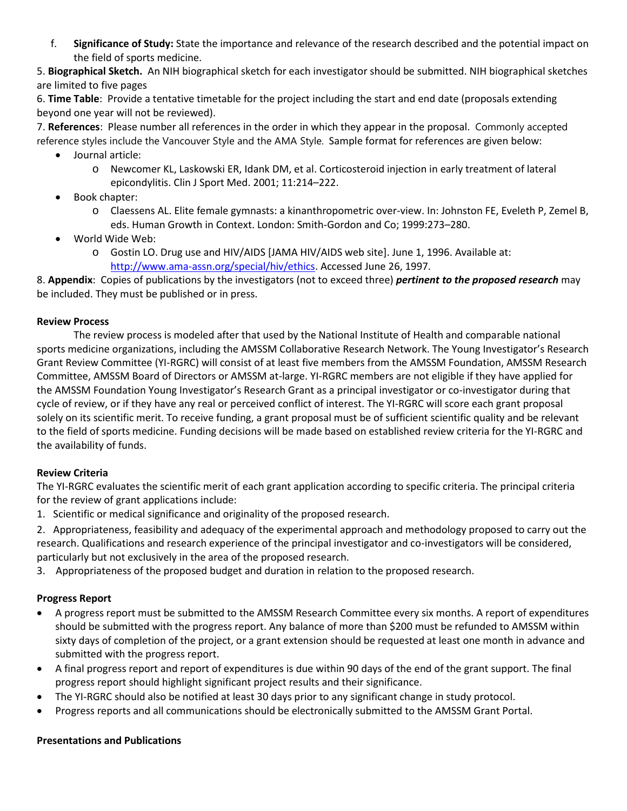f. **Significance of Study:** State the importance and relevance of the research described and the potential impact on the field of sports medicine.

5. **Biographical Sketch.** An NIH biographical sketch for each investigator should be submitted. NIH biographical sketches are limited to five pages

6. **Time Table**: Provide a tentative timetable for the project including the start and end date (proposals extending beyond one year will not be reviewed).

7. **References**: Please number all references in the order in which they appear in the proposal. Commonly accepted reference styles include the Vancouver Style and the AMA Style. Sample format for references are given below:

- Journal article:
	- o Newcomer KL, Laskowski ER, Idank DM, et al. Corticosteroid injection in early treatment of lateral epicondylitis. Clin J Sport Med. 2001; 11:214–222.
- Book chapter:
	- o Claessens AL. Elite female gymnasts: a kinanthropometric over-view. In: Johnston FE, Eveleth P, Zemel B, eds. Human Growth in Context. London: Smith-Gordon and Co; 1999:273–280.
- World Wide Web:
	- o Gostin LO. Drug use and HIV/AIDS [JAMA HIV/AIDS web site]. June 1, 1996. Available at: [http://www.ama-assn.org/special/hiv/ethics.](http://www.ama-assn.org/special/hiv/ethics) Accessed June 26, 1997.

8. **Appendix**: Copies of publications by the investigators (not to exceed three) *pertinent to the proposed research* may be included. They must be published or in press.

### **Review Process**

The review process is modeled after that used by the National Institute of Health and comparable national sports medicine organizations, including the AMSSM Collaborative Research Network. The Young Investigator's Research Grant Review Committee (YI-RGRC) will consist of at least five members from the AMSSM Foundation, AMSSM Research Committee, AMSSM Board of Directors or AMSSM at-large. YI-RGRC members are not eligible if they have applied for the AMSSM Foundation Young Investigator's Research Grant as a principal investigator or co-investigator during that cycle of review, or if they have any real or perceived conflict of interest. The YI-RGRC will score each grant proposal solely on its scientific merit. To receive funding, a grant proposal must be of sufficient scientific quality and be relevant to the field of sports medicine. Funding decisions will be made based on established review criteria for the YI-RGRC and the availability of funds.

## **Review Criteria**

The YI-RGRC evaluates the scientific merit of each grant application according to specific criteria. The principal criteria for the review of grant applications include:

1. Scientific or medical significance and originality of the proposed research.

2. Appropriateness, feasibility and adequacy of the experimental approach and methodology proposed to carry out the research. Qualifications and research experience of the principal investigator and co-investigators will be considered, particularly but not exclusively in the area of the proposed research.

3. Appropriateness of the proposed budget and duration in relation to the proposed research.

## **Progress Report**

- A progress report must be submitted to the AMSSM Research Committee every six months. A report of expenditures should be submitted with the progress report. Any balance of more than \$200 must be refunded to AMSSM within sixty days of completion of the project, or a grant extension should be requested at least one month in advance and submitted with the progress report.
- A final progress report and report of expenditures is due within 90 days of the end of the grant support. The final progress report should highlight significant project results and their significance.
- The YI-RGRC should also be notified at least 30 days prior to any significant change in study protocol.
- Progress reports and all communications should be electronically submitted to the AMSSM Grant Portal.

#### **Presentations and Publications**